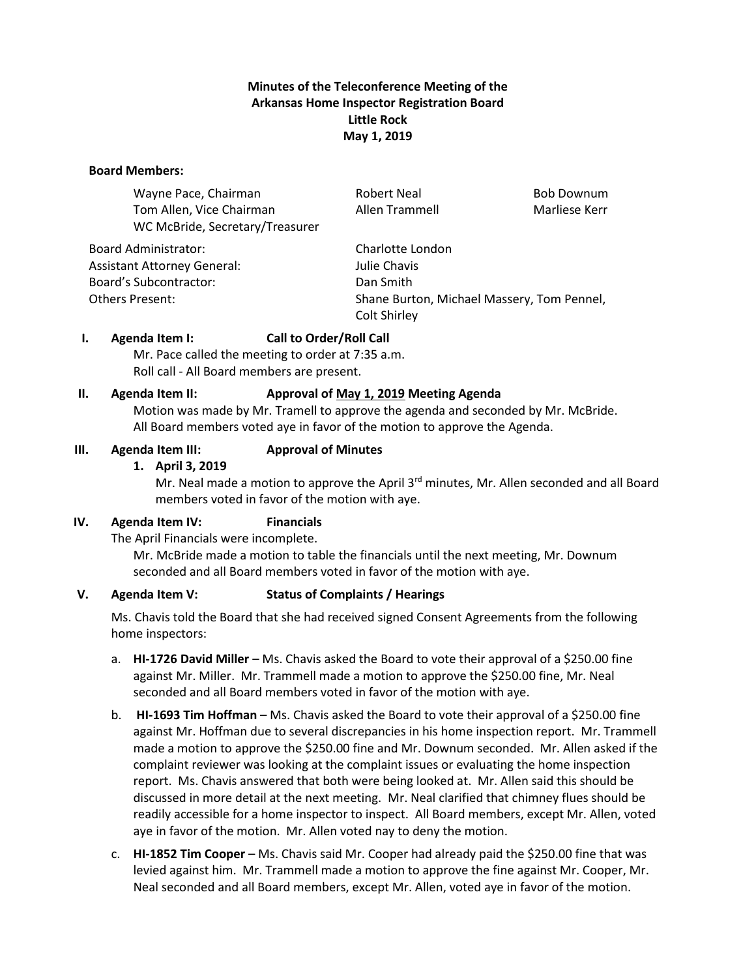## **Minutes of the Teleconference Meeting of the Arkansas Home Inspector Registration Board Little Rock May 1, 2019**

#### **Board Members:**

| Wayne Pace, Chairman            | <b>Robert Neal</b>                         | <b>Bob Downum</b> |
|---------------------------------|--------------------------------------------|-------------------|
| Tom Allen, Vice Chairman        | Allen Trammell                             | Marliese Kerr     |
| WC McBride, Secretary/Treasurer |                                            |                   |
| <b>Board Administrator:</b>     | Charlotte London                           |                   |
| Assistant Attorney General:     | Julie Chavis                               |                   |
| <b>Board's Subcontractor:</b>   | Dan Smith                                  |                   |
| Others Present:                 | Shane Burton, Michael Massery, Tom Pennel, |                   |
|                                 | Colt Shirley                               |                   |

## **I. Agenda Item I: Call to Order/Roll Call**

Mr. Pace called the meeting to order at 7:35 a.m. Roll call - All Board members are present.

## **II. Agenda Item II: Approval of May 1, 2019 Meeting Agenda**

Motion was made by Mr. Tramell to approve the agenda and seconded by Mr. McBride. All Board members voted aye in favor of the motion to approve the Agenda.

## **III. Agenda Item III: Approval of Minutes**

## **1. April 3, 2019**

Mr. Neal made a motion to approve the April  $3<sup>rd</sup>$  minutes, Mr. Allen seconded and all Board members voted in favor of the motion with aye.

## **IV. Agenda Item IV: Financials**

The April Financials were incomplete.

Mr. McBride made a motion to table the financials until the next meeting, Mr. Downum seconded and all Board members voted in favor of the motion with aye.

# **V. Agenda Item V: Status of Complaints / Hearings**

Ms. Chavis told the Board that she had received signed Consent Agreements from the following home inspectors:

- a. **HI-1726 David Miller** Ms. Chavis asked the Board to vote their approval of a \$250.00 fine against Mr. Miller. Mr. Trammell made a motion to approve the \$250.00 fine, Mr. Neal seconded and all Board members voted in favor of the motion with aye.
- b. **HI-1693 Tim Hoffman** Ms. Chavis asked the Board to vote their approval of a \$250.00 fine against Mr. Hoffman due to several discrepancies in his home inspection report. Mr. Trammell made a motion to approve the \$250.00 fine and Mr. Downum seconded. Mr. Allen asked if the complaint reviewer was looking at the complaint issues or evaluating the home inspection report. Ms. Chavis answered that both were being looked at. Mr. Allen said this should be discussed in more detail at the next meeting. Mr. Neal clarified that chimney flues should be readily accessible for a home inspector to inspect. All Board members, except Mr. Allen, voted aye in favor of the motion. Mr. Allen voted nay to deny the motion.
- c. **HI-1852 Tim Cooper** Ms. Chavis said Mr. Cooper had already paid the \$250.00 fine that was levied against him. Mr. Trammell made a motion to approve the fine against Mr. Cooper, Mr. Neal seconded and all Board members, except Mr. Allen, voted aye in favor of the motion.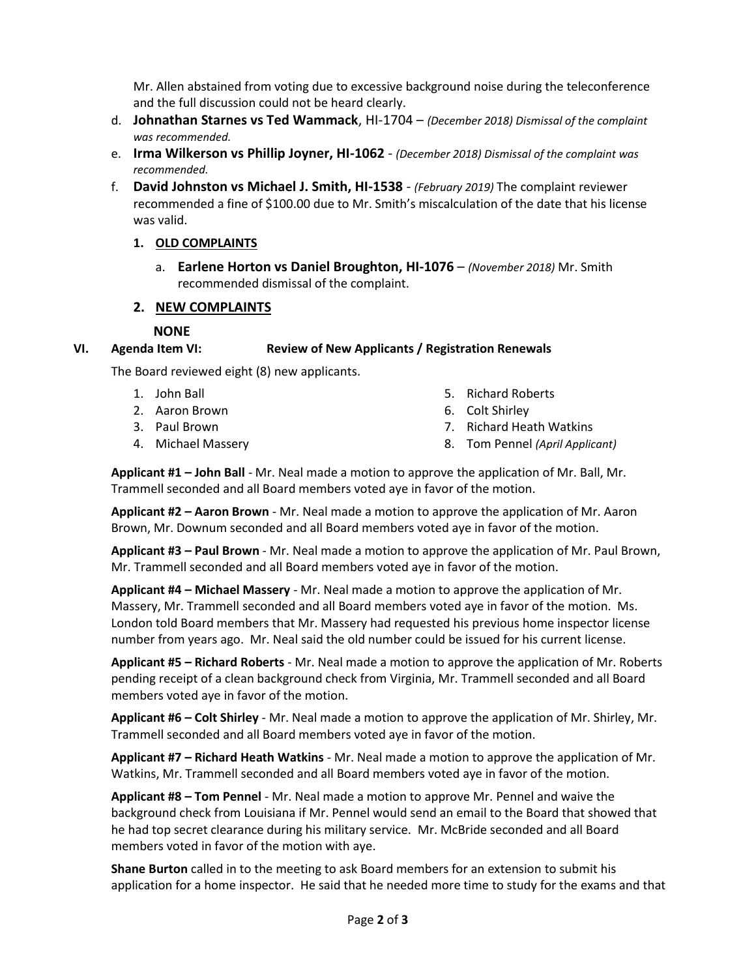Mr. Allen abstained from voting due to excessive background noise during the teleconference and the full discussion could not be heard clearly.

- d. **Johnathan Starnes vs Ted Wammack**, HI-1704 *(December 2018) Dismissal of the complaint was recommended.*
- e. **Irma Wilkerson vs Phillip Joyner, HI-1062** *(December 2018) Dismissal of the complaint was recommended.*
- f. **David Johnston vs Michael J. Smith, HI-1538** *(February 2019)* The complaint reviewer recommended a fine of \$100.00 due to Mr. Smith's miscalculation of the date that his license was valid.

# **1. OLD COMPLAINTS**

a. **Earlene Horton vs Daniel Broughton, HI-1076** – *(November 2018)* Mr. Smith recommended dismissal of the complaint.

## **2. NEW COMPLAINTS**

# **NONE**

## **VI. Agenda Item VI: Review of New Applicants / Registration Renewals**

The Board reviewed eight (8) new applicants.

- 1. John Ball
- 2. Aaron Brown
- 3. Paul Brown
- 4. Michael Massery
- 5. Richard Roberts
- 6. Colt Shirley
- 7. Richard Heath Watkins
- 8. Tom Pennel *(April Applicant)*

**Applicant #1 – John Ball** - Mr. Neal made a motion to approve the application of Mr. Ball, Mr. Trammell seconded and all Board members voted aye in favor of the motion.

**Applicant #2 – Aaron Brown** - Mr. Neal made a motion to approve the application of Mr. Aaron Brown, Mr. Downum seconded and all Board members voted aye in favor of the motion.

**Applicant #3 – Paul Brown** - Mr. Neal made a motion to approve the application of Mr. Paul Brown, Mr. Trammell seconded and all Board members voted aye in favor of the motion.

**Applicant #4 – Michael Massery** - Mr. Neal made a motion to approve the application of Mr. Massery, Mr. Trammell seconded and all Board members voted aye in favor of the motion. Ms. London told Board members that Mr. Massery had requested his previous home inspector license number from years ago. Mr. Neal said the old number could be issued for his current license.

**Applicant #5 – Richard Roberts** - Mr. Neal made a motion to approve the application of Mr. Roberts pending receipt of a clean background check from Virginia, Mr. Trammell seconded and all Board members voted aye in favor of the motion.

**Applicant #6 – Colt Shirley** - Mr. Neal made a motion to approve the application of Mr. Shirley, Mr. Trammell seconded and all Board members voted aye in favor of the motion.

**Applicant #7 – Richard Heath Watkins** - Mr. Neal made a motion to approve the application of Mr. Watkins, Mr. Trammell seconded and all Board members voted aye in favor of the motion.

**Applicant #8 – Tom Pennel** - Mr. Neal made a motion to approve Mr. Pennel and waive the background check from Louisiana if Mr. Pennel would send an email to the Board that showed that he had top secret clearance during his military service. Mr. McBride seconded and all Board members voted in favor of the motion with aye.

**Shane Burton** called in to the meeting to ask Board members for an extension to submit his application for a home inspector. He said that he needed more time to study for the exams and that